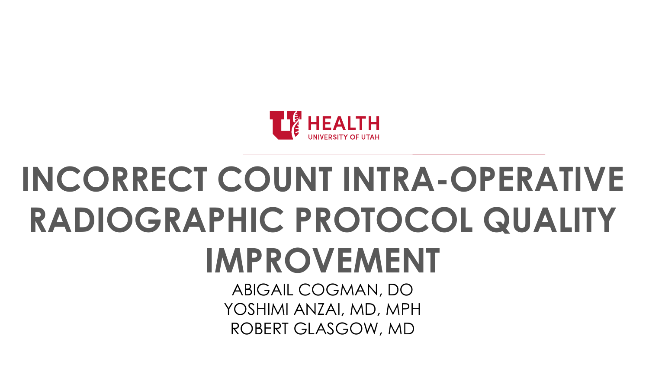

# **INCORRECT COUNT INTRA-OPERATIVE RADIOGRAPHIC PROTOCOL QUALITY IMPROVEMENT**

ABIGAIL COGMAN, DO YOSHIMI ANZAI, MD, MPH ROBERT GLASGOW, MD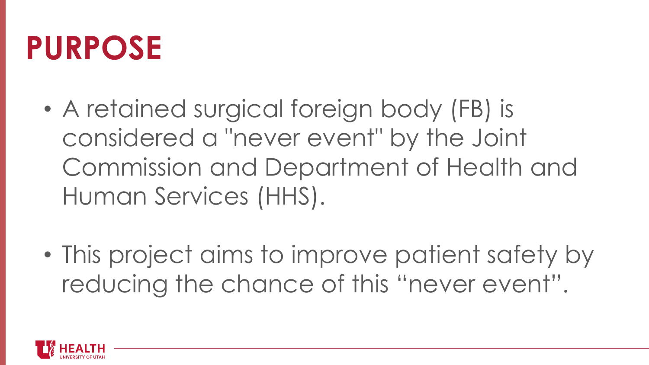#### **PURPOSE**

- A retained surgical foreign body (FB) is considered a "never event" by the Joint Commission and Department of Health and Human Services (HHS).
- This project aims to improve patient safety by reducing the chance of this "never event".

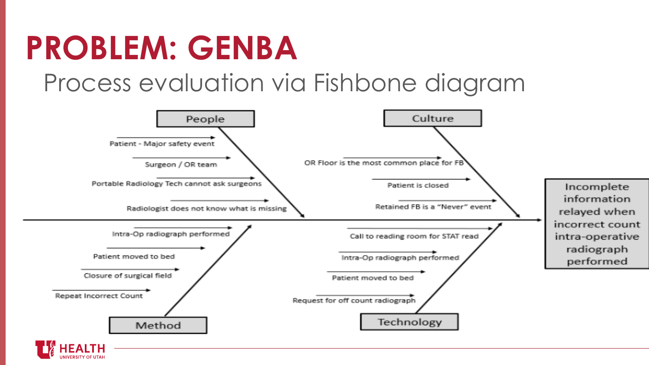### **PROBLEM: GENBA**

Process evaluation via Fishbone diagram



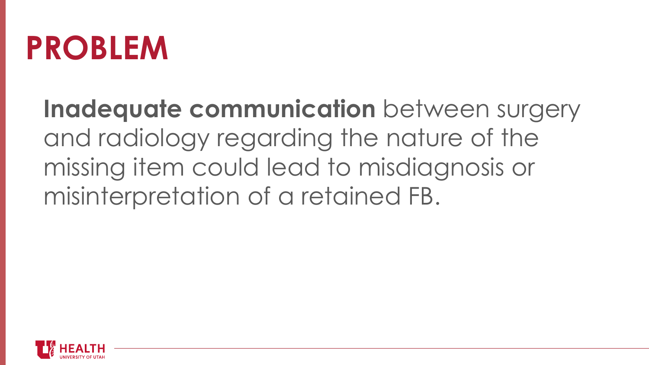#### **PROBLEM**

**Inadequate communication** between surgery and radiology regarding the nature of the missing item could lead to misdiagnosis or misinterpretation of a retained FB.

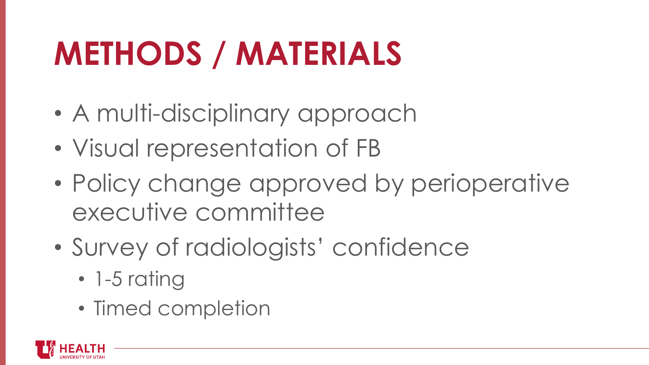## **METHODS / MATERIALS**

- A multi-disciplinary approach
- Visual representation of FB
- Policy change approved by perioperative executive committee
- Survey of radiologists' confidence
	- 1-5 rating
	- Timed completion

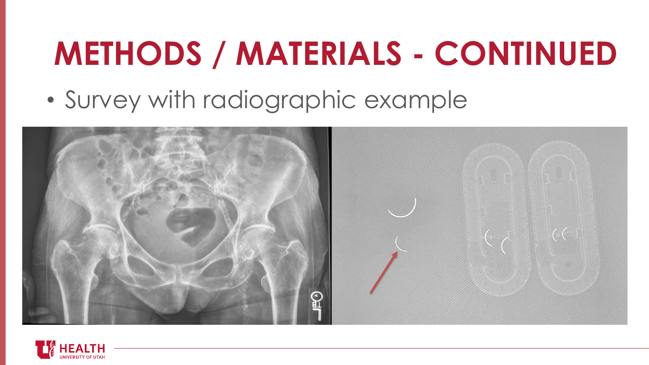### **METHODS / MATERIALS - CONTINUED**

• Survey with radiographic example



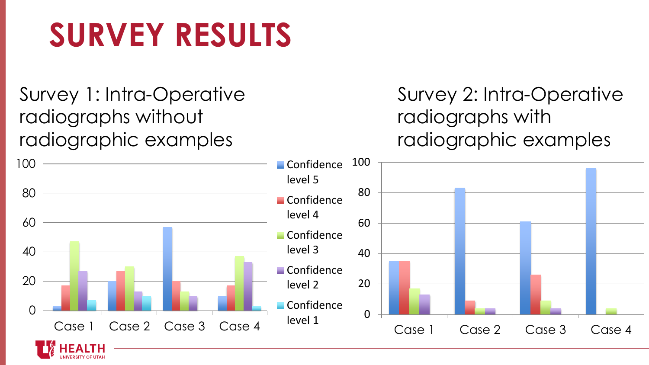### **SURVEY RESULTS**

Survey 1: Intra-Operative radiographs without radiographic examples

Survey 2: Intra-Operative radiographs with radiographic examples

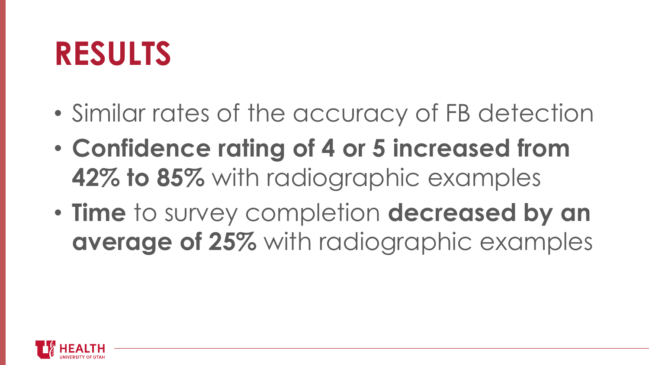#### **RESULTS**

- Similar rates of the accuracy of FB detection
- **Confidence rating of 4 or 5 increased from 42% to 85%** with radiographic examples
- **Time** to survey completion **decreased by an average of 25%** with radiographic examples

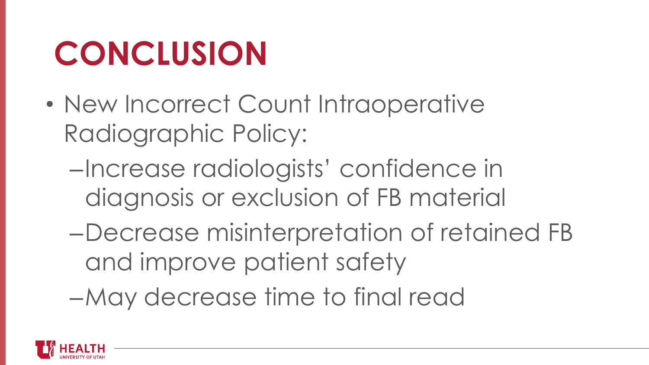### **CONCLUSION**

- New Incorrect Count Intraoperative Radiographic Policy:
	- –Increase radiologists' confidence in diagnosis or exclusion of FB material
	- –Decrease misinterpretation of retained FB and improve patient safety
	- –May decrease time to final read